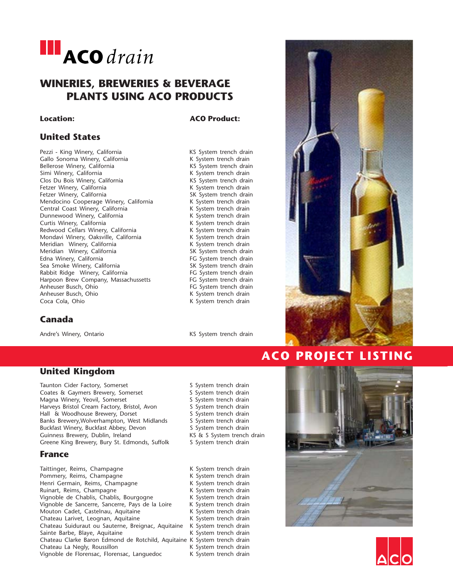

## **WINERIES, BREWERIES & BEVERAGE PLANTS USING ACO PRODUCTS**

**United States**

### **Location: ACO Product:**

Pezzi - King Winery, California<br>
Gallo Sonoma Winery, California 
K System trench drain Gallo Sonoma Winery, California K System trench drain Bellerose Winery, California Simi Winery, California 
K System trench drain Clos Du Bois Winery, California<br>
Fetzer Winery, California<br>
K System trench drain Fetzer Winery, California<br>
Fetzer Winery, California<br>
Fetzer Winery, California Fetzer Winery, California<br>
Mendocino Cooperage Winery, California<br>
K System trench drain Mendocino Cooperage Winery, California Central Coast Winery, California 
K System trench drain Dunnewood Winery, California<br>
Curtis Winery, California<br>
K System trench drain Curtis Winery, California Redwood Cellars Winery, California<br>
Mondavi Winery, Oaksville, California<br>
K System trench drain Mondavi Winery, Oaksville, California Meridian Winery, California **K** System trench drain Meridian Winery, California SK System trench drain Edna Winery, California<br>
Sea Smoke Winery, California<br>
SK System trench drain Sea Smoke Winery, California and SK System trench drain<br>
Rabbit Ridge Winery, California and SK System trench drain Rabbit Ridge Winery, California<br>
Harpoon Brew Company, Massachussetts
FG System trench drain Harpoon Brew Company, Massachussetts Anheuser Busch, Ohio **FG System trench drain** Anheuser Busch, Ohio **K** System trench drain<br>
Coca Cola, Ohio **K** System trench drain

### **Canada**

Andre's Winery, Ontario **KS** System trench drain

K System trench drain

### **United Kingdom**

Taunton Cider Factory, Somerset Similary San System trench drain Coates & Gaymers Brewery, Somerset S System trench drain Magna Winery, Yeovil, Somerset Summerset Summerset Summerset Summerset Summerset Summerset Summerset Summerset<br>Summerset System trench drain Harveys Bristol Cream Factory, Bristol, Avon System trench drain<br>
Hall & Woodhouse Brewery, Dorset System trench drain Hall & Woodhouse Brewery, Dorset System trench drain<br>Banks Brewery, Wolverhampton, West Midlands System trench drain Banks Brewery, Wolverhampton, West Midlands Buckfast Winery, Buckfast Abbey, Devon S System trench drain Guinness Brewery, Dublin, Ireland KS & S System trench drain Greene King Brewery, Bury St. Edmonds, Suffolk System trench drain

### **France**

Taittinger, Reims, Champagne K System trench drain Pommery, Reims, Champagne<br>
Henri Germain, Reims, Champagne<br>
K System trench drain Henri Germain, Reims, Champagne<br>
Ruinart, Reims, Champagne<br>
K System trench drain Ruinart, Reims, Champagne Vignoble de Chablis, Chablis, Bourgogne K System trench drain<br>Vignoble de Sancerre, Sancerre, Pays de la Loire K System trench drain Vignoble de Sancerre, Sancerre, Pays de la Loire K System trench drain<br>Mouton Cadet, Castelnau, Aquitaine K System trench drain Mouton Cadet, Castelnau, Aquitaine Chateau Larivet, Leognan, Aquitaine K System trench drain<br>Chateau Suiduraut ou Sauterne, Breignac, Aquitaine K System trench drain Chateau Suiduraut ou Sauterne, Breignac, Aquitaine Sainte Barbe, Blaye, Aquitaine **K** System trench drain Chateau Clarke Baron Edmond de Rotchild, Aquitaine K System trench drain Chateau La Negly, Roussillon Maria Chateau K System trench drain Vignoble de Florensac, Florensac, Languedoc K System trench drain



## **ACO PROJECT LISTING**